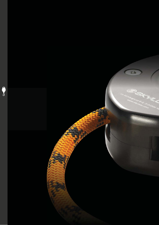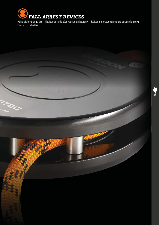

Höhensicherungsgeräte | Équipements de sécurisation en hauteur | Equipos de protección contra caídas de altura | Dispositivi retrattili

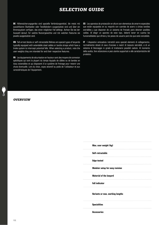#### *SELECTION GUIDE*

**DE** Höhensicherungsgeräte sind spezielle Verbindungsmittel, die meist mit ausziehbaren Stahlseilen oder Textilbändern ausgestattet sind und über ein Bremssystem verfügen, das einen möglichen Fall abfängt. Achten Sie bei der Auswahl darauf, für welche Nutzergewichte und mit welchen Features sie jeweils ausgestattet sind.

**EN** Fall-arrest blocks or self-retractable lifelines are special types of lanyards typically equipped with extendable steel cables or textile straps which have a brake system to intercept potential falls. When selecting a product, note the user weights they are intended for and their respective features.

**FR** Les équipements de sécurisation en hauteur sont des moyens de connexion spécifiques qui sont la plupart du temps équipés de câbles ou de bandes en tissu extensibles et qui disposent d'un système de freinage pour retenir une chute éventuelle. Lors du choix, soyez attentif au poids de l'utilisateur et aux caractéristiques de l'équipement.

**ES** Los aparatos de protección en altura son elementos de amarre especiales que están equipados en su mayoría con cuerdas de acero o cintas textiles extraíbles y que disponen de un sistema de frenado para detener posibles caídas. Al elegir un aparato de este tipo, deberá tener en cuenta las funcionalidades que ofrece y los pesos de usuario para los que está concebido.

**IT** I dispositivi anticaduta retrattili sono speciali elementi di collegamento, normalmente dotati di cavo d'acciaio o nastri di tessuto estraibili, e di un sistema di bloccaggio in grado di trattenere possibili cadute. Al momento della scelta, fare attenzione ai pesi utente supportati e alle caratteristiche del prodotto.

*OVERVIEW* 

**Max. user weight (kg)**

#### **Self-retractable**

**Edge-tested**

**Modular setup for easy revision**

**Material of the lanyard**

**Fall indicator**

**Variants or max. working lengths**

**Specialities**

**Accessories**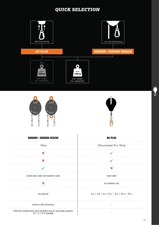# *QUICK SELECTION*







| <b>GORDON / GORDON RESCUE</b>                                                                 | <b>HK PLUS</b>                              |  |  |  |  |
|-----------------------------------------------------------------------------------------------|---------------------------------------------|--|--|--|--|
| 140 kg                                                                                        | 140 kg (excluded 10 m: 100 kg)              |  |  |  |  |
| $\boldsymbol{\mathsf{x}}$                                                                     |                                             |  |  |  |  |
| $\boldsymbol{\mathsf{x}}$                                                                     | $\checkmark$                                |  |  |  |  |
|                                                                                               | $\boldsymbol{\mathsf{x}}$                   |  |  |  |  |
| textile semi-static and dynamic ropes                                                         | steel cable                                 |  |  |  |  |
| X                                                                                             | at carabiner only                           |  |  |  |  |
| any desired                                                                                   | $3 m   4 m   5 m   6 m   8 m   10 m   15 m$ |  |  |  |  |
| works in both directions                                                                      |                                             |  |  |  |  |
| different configurations with hardware and as rope pulley systems $(3:1, 4:1, 5:1)$ available |                                             |  |  |  |  |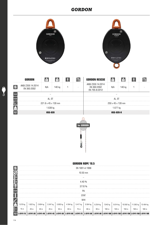#### *GORDON*





|                                 | GORDON                           | $\frac{1}{2}$       | $\frac{2}{\ln x}$ | $ \mathbf{r} $ | TA)               | <b>GORDON RESCUE</b>                              | L   | $\frac{2}{\text{max}}$ | $\Lambda$ | <u>the Contract of the Contract of the Contract of the Contract of the Contract of the Contract of the Contract o</u> |
|---------------------------------|----------------------------------|---------------------|-------------------|----------------|-------------------|---------------------------------------------------|-----|------------------------|-----------|-----------------------------------------------------------------------------------------------------------------------|
| <b>S</b>                        | ANSI Z359.14:2014<br>EN 360:2002 | N/A                 | 140 kg            |                |                   | ANSI Z359.14:2014<br>EN 360:2002<br>EN 795-B:2012 | N/A | 140 kg                 | 1         |                                                                                                                       |
| ind                             |                                  |                     |                   |                |                   |                                                   |     |                        |           |                                                                                                                       |
| mat                             |                                  | AL, ST              |                   |                | AL, ST            |                                                   |     |                        |           |                                                                                                                       |
| L                               |                                  | 221.8 x 45 x 139 mm |                   |                | 250 x 45 x 139 mm |                                                   |     |                        |           |                                                                                                                       |
| $\Omega$<br>$\left  \right $ kg |                                  | 1.638 kg            |                   |                | 1.677 kg          |                                                   |     |                        |           |                                                                                                                       |
| art<br>no                       |                                  | <b>HSG-020</b>      |                   |                |                   | <b>HSG-020-R</b>                                  |     |                        |           |                                                                                                                       |



#### **GORDON ROPE 10.5**

| $\boxed{\mathbf{S}}$                                                                                                                                                                                                                                                                                                                                                                                                      | EN 1891-A:1998                                                                                                                                                                                 |  |  |  |                                                                                                                                                                                   |  |             |     |  |  |           |  |  |
|---------------------------------------------------------------------------------------------------------------------------------------------------------------------------------------------------------------------------------------------------------------------------------------------------------------------------------------------------------------------------------------------------------------------------|------------------------------------------------------------------------------------------------------------------------------------------------------------------------------------------------|--|--|--|-----------------------------------------------------------------------------------------------------------------------------------------------------------------------------------|--|-------------|-----|--|--|-----------|--|--|
|                                                                                                                                                                                                                                                                                                                                                                                                                           | 10.50 mm                                                                                                                                                                                       |  |  |  |                                                                                                                                                                                   |  |             |     |  |  |           |  |  |
| $\bigotimes_{m=1}^{\infty} \bigotimes_{m=1}^{\infty} \bigotimes_{m=1}^{\infty} \bigotimes_{m=1}^{\infty} \bigotimes_{m=1}^{\infty} \bigotimes_{m=1}^{\infty} \bigotimes_{m=1}^{\infty} \bigotimes_{m=1}^{\infty} \bigotimes_{m=1}^{\infty} \bigotimes_{m=1}^{\infty} \bigotimes_{m=1}^{\infty} \bigotimes_{m=1}^{\infty} \bigotimes_{m=1}^{\infty} \bigotimes_{m=1}^{\infty} \bigotimes_{m=1}^{\infty} \bigotimes_{m=1}^$ |                                                                                                                                                                                                |  |  |  |                                                                                                                                                                                   |  |             |     |  |  |           |  |  |
|                                                                                                                                                                                                                                                                                                                                                                                                                           | 4.40 %                                                                                                                                                                                         |  |  |  |                                                                                                                                                                                   |  |             |     |  |  |           |  |  |
|                                                                                                                                                                                                                                                                                                                                                                                                                           | 37.10 %                                                                                                                                                                                        |  |  |  |                                                                                                                                                                                   |  |             |     |  |  |           |  |  |
| mat                                                                                                                                                                                                                                                                                                                                                                                                                       |                                                                                                                                                                                                |  |  |  |                                                                                                                                                                                   |  | PA          |     |  |  |           |  |  |
| $\begin{tabular}{ c c } \hline & $\alpha$ & $\beta$ \\ \hline & $\alpha$ & $\alpha$ & $\beta$ \\ \hline & $\alpha$ & $\alpha$ & $\beta$ \\ \hline & $\alpha$ & $\alpha$ & $\beta$ & $\beta$ \\ \hline & $\alpha$ & $\alpha$ & $\beta$ & $\beta$ & $\beta$ \\ \hline & $\alpha$ & $\alpha$ & $\beta$ & $\beta$ & $\beta$ \\ \hline \end{tabular}$                                                                          |                                                                                                                                                                                                |  |  |  |                                                                                                                                                                                   |  | <b>STAT</b> |     |  |  |           |  |  |
| $\boldsymbol{z}$                                                                                                                                                                                                                                                                                                                                                                                                          |                                                                                                                                                                                                |  |  |  |                                                                                                                                                                                   |  |             | WHI |  |  |           |  |  |
|                                                                                                                                                                                                                                                                                                                                                                                                                           | 1.079 kg<br>1.622 kg<br>$2.804$ kg<br>3.347 kg<br>$3.692$ kg<br>$6.254$ kg<br>10.592 kg<br>5.417 kg<br>5.564 kg<br>7.042 kg<br>9.014 kg<br>11.282 kg<br>4.184 kg                               |  |  |  |                                                                                                                                                                                   |  |             |     |  |  | 12.464 kg |  |  |
| <b>Property</b> Internal Control                                                                                                                                                                                                                                                                                                                                                                                          | 15 <sub>m</sub><br>20 <sub>m</sub><br>75 m<br>45 m<br>50 <sub>m</sub><br>60 m<br>80 <sub>m</sub><br>90 <sub>m</sub><br>100 <sub>m</sub><br>130 m<br>150 <sub>m</sub><br>160 m<br>180 m<br>40 m |  |  |  |                                                                                                                                                                                   |  |             |     |  |  |           |  |  |
| art<br>no                                                                                                                                                                                                                                                                                                                                                                                                                 | $L-0741-15$                                                                                                                                                                                    |  |  |  | L-0741-20   L-0741-40   L-0741-45   L-0741-50   L-0741-60   L-0741-75   L-0741-80   L-0741-90  L-0741-100  L-0741-130  L-0741-150  L-0741-160  L-0741-160  L-0741-160  L-0741-180 |  |             |     |  |  |           |  |  |

ď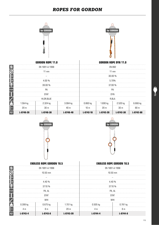### *ROPES FOR GORDON*





|                         |                 | <b>GORDON ROPE 11.0</b> |             | <b>GORDON ROPE DYN 11.0</b> |                 |                 |             |  |  |
|-------------------------|-----------------|-------------------------|-------------|-----------------------------|-----------------|-----------------|-------------|--|--|
| $\overline{\mathbf{s}}$ |                 | EN 1891-A:1998          |             | <b>EN 892</b>               |                 |                 |             |  |  |
|                         |                 | $11 \text{ mm}$         |             | $11$ mm                     |                 |                 |             |  |  |
| E S                     |                 |                         |             | 30.00%                      |                 |                 |             |  |  |
|                         |                 | 4.00 %                  |             | 5.70%                       |                 |                 |             |  |  |
|                         |                 | 39.00 %                 |             | 37.00 %                     |                 |                 |             |  |  |
| $ \mathsf{mat} $        |                 | PA                      |             | PA                          |                 |                 |             |  |  |
| E                       |                 | <b>STAT</b>             |             | <b>DYN</b>                  |                 |                 |             |  |  |
|                         |                 | HI, OR, BLUE            |             | R, BLA                      |                 |                 |             |  |  |
|                         | 1.564 kg        | 2.324 kg                | 3.084 kg    | 0.860 kg                    | 1.690 kg        | 2.520 kg        | 6.666 kg    |  |  |
| —<br>—<br>≣m            | 20 <sub>m</sub> | 30 <sub>m</sub><br>40 m |             | 10 <sub>m</sub>             | 20 <sub>m</sub> | 30 <sub>m</sub> | 80 m        |  |  |
| art                     | $L-0740-20$     | $L-0740-30$             | $L-0740-40$ | $L-0742-10$                 | $L-0742-20$     | $L-0742-30$     | $L-0742-80$ |  |  |







|                                                                                                                           |                | <b>ENDLESS ROPE GORDON 10.5</b> |                 | <b>ENDLESS ROPE GORDON 10.5</b> |  |  |  |  |
|---------------------------------------------------------------------------------------------------------------------------|----------------|---------------------------------|-----------------|---------------------------------|--|--|--|--|
| <b>S</b>                                                                                                                  |                | EN 1891-A:1998                  |                 | EN 1891-A:1998                  |  |  |  |  |
| $\overline{\boldsymbol{\varnothing}}$                                                                                     |                | $10.50$ mm                      |                 | 10.50 mm                        |  |  |  |  |
| <b>KANA</b>                                                                                                               |                |                                 |                 |                                 |  |  |  |  |
| <b>Example</b>                                                                                                            |                | 4.40%                           |                 | 4.40 %                          |  |  |  |  |
| $\begin{bmatrix} -\frac{1}{2} & -\frac{1}{2} \\ -\frac{1}{2} & -\frac{1}{2} \\ -\frac{1}{2} & -\frac{1}{2} \end{bmatrix}$ |                | 37.10 %                         |                 | 37.10 %                         |  |  |  |  |
| mat                                                                                                                       |                | PA, AL                          |                 | PA, AL                          |  |  |  |  |
| KAKA                                                                                                                      |                | <b>STAT</b>                     |                 | <b>STAT</b>                     |  |  |  |  |
| 8                                                                                                                         |                | WHI                             |                 | WHI                             |  |  |  |  |
| $\frac{2}{\mathrm{kg}}$                                                                                                   | 0.399 kg       | 0.675 kg                        | 1.701 kg        | 0.781 kg<br>$0.505$ kg          |  |  |  |  |
| $\mathbb{I}_{\mathbb{H}}$ m                                                                                               | 4 <sub>m</sub> | 8 <sub>m</sub>                  | 20 <sub>m</sub> | 8 <sub>m</sub><br>4 m           |  |  |  |  |
| $rac{\text{art}}{\text{no}}$                                                                                              | $L-0743-4$     | $L-0743-8$                      | $L-0743-20$     | $L-0744-4$<br>$L-0744-8$        |  |  |  |  |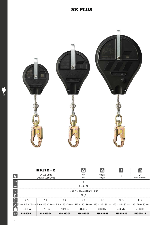## *HK PLUS*



|                       |                                                                                                                                             | <b>HK PLUS 03 - 15</b>           |                   | L                 | <b>Algebra</b>    | $\left  \begin{smallmatrix} 1 \\ 1 \\ 1 \end{smallmatrix} \right $ | $\widehat{\mathbb{Z}}$ |  |  |  |  |
|-----------------------|---------------------------------------------------------------------------------------------------------------------------------------------|----------------------------------|-------------------|-------------------|-------------------|--------------------------------------------------------------------|------------------------|--|--|--|--|
| $\vert$               |                                                                                                                                             | EN 360:2002<br>CNB/P/11.060:2005 |                   | N/A<br>N/A        | 100 kg<br>100 kg  |                                                                    | min. 0.5 mm/90°        |  |  |  |  |
| ind                   |                                                                                                                                             |                                  |                   |                   |                   |                                                                    |                        |  |  |  |  |
| mat                   | Plastic, ST                                                                                                                                 |                                  |                   |                   |                   |                                                                    |                        |  |  |  |  |
| $\boldsymbol{\theta}$ | FS 51 WIB IND ANSI SNAP HOOK                                                                                                                |                                  |                   |                   |                   |                                                                    |                        |  |  |  |  |
|                       |                                                                                                                                             |                                  |                   | ST4.8             |                   |                                                                    |                        |  |  |  |  |
| [−<br>⊪               | 3 <sub>m</sub>                                                                                                                              | 4 m                              | 5 <sub>m</sub>    | 6 m               | 8 m               | 10 <sub>m</sub>                                                    | 15 <sub>m</sub>        |  |  |  |  |
|                       | . 210 x 145 x 70 mm   210 x 145 x 70 mm   210 x 145 x 70 mm   275 x 180 x 80 mm   275 x 180 x 80 mm   275 x 180 x 80 mm   360 x 260 x 90 mm |                                  |                   |                   |                   |                                                                    |                        |  |  |  |  |
| $\frac{2}{\text{kg}}$ | $2.625$ kg                                                                                                                                  | 2.723 kg                         | $2.821$ kg        | $3.643$ kg        | 3.839 kg          | 4.035 kg                                                           | 7.263 kg               |  |  |  |  |
| art<br>no             | <b>HSG-050-03</b>                                                                                                                           | <b>HSG-050-04</b>                | <b>HSG-050-05</b> | <b>HSG-050-06</b> | <b>HSG-050-08</b> | <b>HSG-050-10</b>                                                  | <b>HSG-050-15</b>      |  |  |  |  |